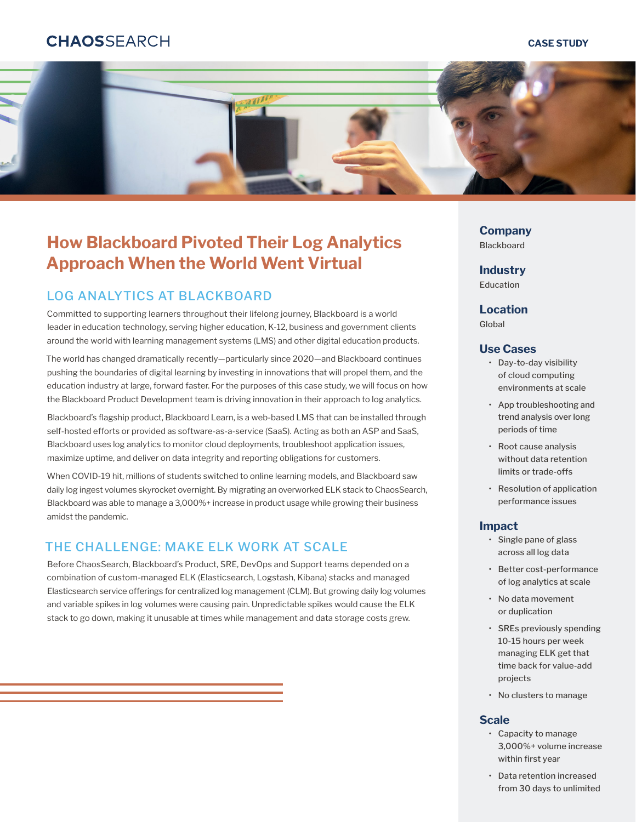# **CHAOSSFARCH**

#### **CASE STUDY**



# **How Blackboard Pivoted Their Log Analytics Approach When the World Went Virtual**

## LOG ANALYTICS AT BLACKBOARD

Committed to supporting learners throughout their lifelong journey, Blackboard is a world leader in education technology, serving higher education, K-12, business and government clients around the world with learning management systems (LMS) and other digital education products.

The world has changed dramatically recently—particularly since 2020—and Blackboard continues pushing the boundaries of digital learning by investing in innovations that will propel them, and the education industry at large, forward faster. For the purposes of this case study, we will focus on how the Blackboard Product Development team is driving innovation in their approach to log analytics.

Blackboard's flagship product, Blackboard Learn, is a web-based LMS that can be installed through self-hosted efforts or provided as software-as-a-service (SaaS). Acting as both an ASP and SaaS, Blackboard uses log analytics to monitor cloud deployments, troubleshoot application issues, maximize uptime, and deliver on data integrity and reporting obligations for customers.

When COVID-19 hit, millions of students switched to online learning models, and Blackboard saw daily log ingest volumes skyrocket overnight. By migrating an overworked ELK stack to ChaosSearch, Blackboard was able to manage a 3,000%+ increase in product usage while growing their business amidst the pandemic.

# THE CHALLENGE: MAKE FLK WORK AT SCALE

Before ChaosSearch, Blackboard's Product, SRE, DevOps and Support teams depended on a combination of custom-managed ELK (Elasticsearch, Logstash, Kibana) stacks and managed Elasticsearch service offerings for centralized log management (CLM). But growing daily log volumes and variable spikes in log volumes were causing pain. Unpredictable spikes would cause the ELK stack to go down, making it unusable at times while management and data storage costs grew.

**Company** Blackboard

**Industry** Education

**Location**

Global

#### **Use Cases**

- Day-to-day visibility of cloud computing environments at scale
- App troubleshooting and trend analysis over long periods of time
- Root cause analysis without data retention limits or trade-offs
- Resolution of application performance issues

#### **Impact**

- Single pane of glass across all log data
- Better cost-performance of log analytics at scale
- No data movement or duplication
- SREs previously spending 10-15 hours per week managing ELK get that time back for value-add projects
- No clusters to manage

#### **Scale**

- Capacity to manage 3,000%+ volume increase within first year
- Data retention increased from 30 days to unlimited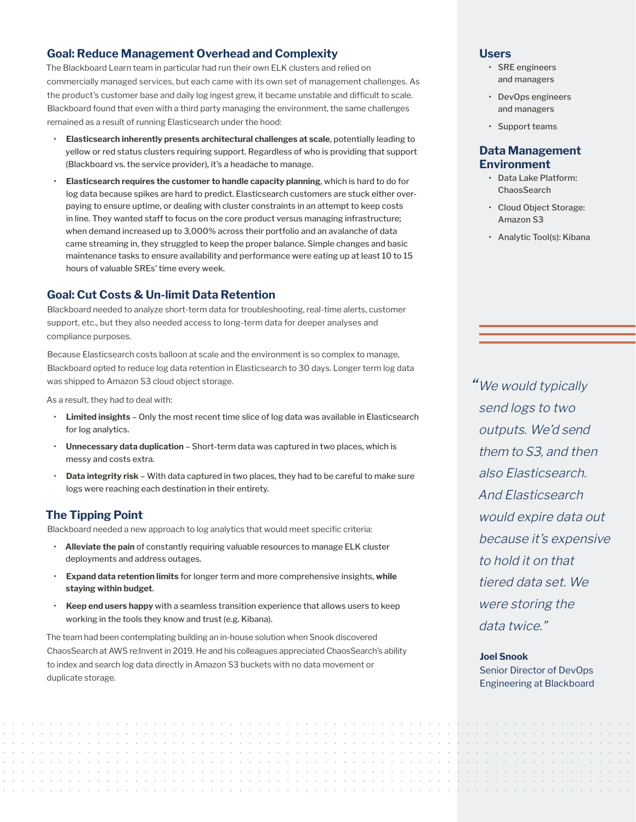## **Goal: Reduce Management Overhead and Complexity**

The Blackboard Learn team in particular had run their own ELK clusters and relied on commercially managed services, but each came with its own set of management challenges. As the product's customer base and daily log ingest grew, it became unstable and difficult to scale. Blackboard found that even with a third party managing the environment, the same challenges remained as a result of running Elasticsearch under the hood:

- **Elasticsearch inherently presents architectural challenges at scale**, potentially leading to yellow or red status clusters requiring support. Regardless of who is providing that support (Blackboard vs. the service provider), it's a headache to manage.
- **Elasticsearch requires the customer to handle capacity planning**, which is hard to do for log data because spikes are hard to predict. Elasticsearch customers are stuck either overpaying to ensure uptime, or dealing with cluster constraints in an attempt to keep costs in line. They wanted staff to focus on the core product versus managing infrastructure; when demand increased up to 3,000% across their portfolio and an avalanche of data came streaming in, they struggled to keep the proper balance. Simple changes and basic maintenance tasks to ensure availability and performance were eating up at least 10 to 15 hours of valuable SREs' time every week.

## **Goal: Cut Costs & Un-limit Data Retention**

Blackboard needed to analyze short-term data for troubleshooting, real-time alerts, customer support, etc., but they also needed access to long-term data for deeper analyses and compliance purposes.

Because Elasticsearch costs balloon at scale and the environment is so complex to manage, Blackboard opted to reduce log data retention in Elasticsearch to 30 days. Longer term log data was shipped to Amazon S3 cloud object storage.

As a result, they had to deal with:

- **Limited insights** Only the most recent time slice of log data was available in Elasticsearch for log analytics.
- **Unnecessary data duplication** Short-term data was captured in two places, which is messy and costs extra.
- **Data integrity risk** With data captured in two places, they had to be careful to make sure logs were reaching each destination in their entirety.

## **The Tipping Point**

Blackboard needed a new approach to log analytics that would meet specific criteria:

- **Alleviate the pain** of constantly requiring valuable resources to manage ELK cluster deployments and address outages.
- **Expand data retention limits** for longer term and more comprehensive insights, **while staying within budget**.
- **Keep end users happy** with a seamless transition experience that allows users to keep working in the tools they know and trust (e.g. Kibana).

The team had been contemplating building an in-house solution when Snook discovered ChaosSearch at AWS re:Invent in 2019. He and his colleagues appreciated ChaosSearch's ability to index and search log data directly in Amazon S3 buckets with no data movement or duplicate storage.

#### **Users**

- SRE engineers and managers
- DevOps engineers and managers
- Support teams

## **Data Management Environment**

- Data Lake Platform: **ChaosSearch**
- Cloud Object Storage: Amazon S3
- Analytic Tool(s): Kibana

"We would typically send logs to two outputs. We'd send them to S3, and then also Elasticsearch. And Elasticsearch would expire data out because it's expensive to hold it on that tiered data set. We were storing the data twice."

#### **Joel Snook**

Senior Director of DevOps Engineering at Blackboard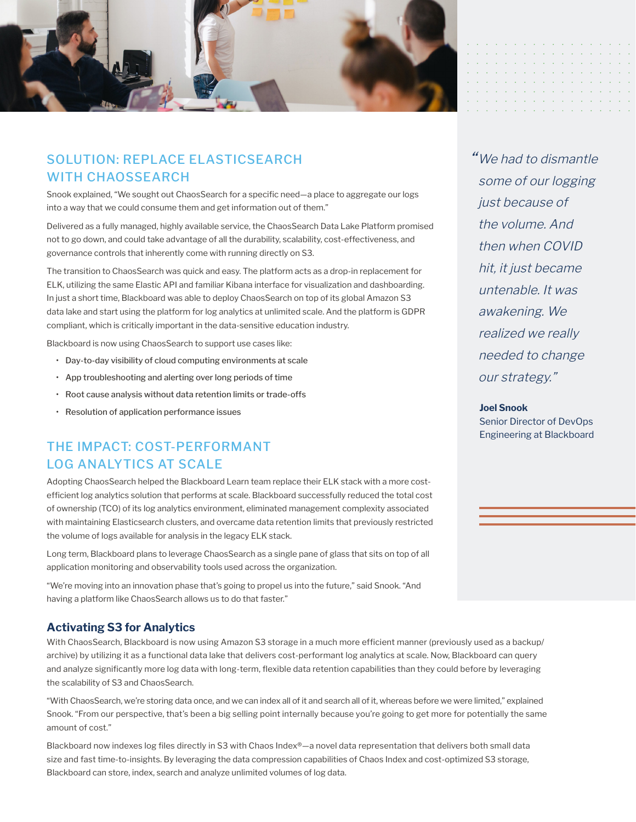

# SOLUTION: REPLACE ELASTICSEARCH WITH CHAOSSEARCH

Snook explained, "We sought out ChaosSearch for a specific need—a place to aggregate our logs into a way that we could consume them and get information out of them."

Delivered as a fully managed, highly available service, the ChaosSearch Data Lake Platform promised not to go down, and could take advantage of all the durability, scalability, cost-effectiveness, and governance controls that inherently come with running directly on S3.

The transition to ChaosSearch was quick and easy. The platform acts as a drop-in replacement for ELK, utilizing the same Elastic API and familiar Kibana interface for visualization and dashboarding. In just a short time, Blackboard was able to deploy ChaosSearch on top of its global Amazon S3 data lake and start using the platform for log analytics at unlimited scale. And the platform is GDPR compliant, which is critically important in the data-sensitive education industry.

Blackboard is now using ChaosSearch to support use cases like:

- Day-to-day visibility of cloud computing environments at scale
- App troubleshooting and alerting over long periods of time
- Root cause analysis without data retention limits or trade-offs
- Resolution of application performance issues

# THE IMPACT: COST-PERFORMANT LOG ANALYTICS AT SCALE

Adopting ChaosSearch helped the Blackboard Learn team replace their ELK stack with a more costefficient log analytics solution that performs at scale. Blackboard successfully reduced the total cost of ownership (TCO) of its log analytics environment, eliminated management complexity associated with maintaining Elasticsearch clusters, and overcame data retention limits that previously restricted the volume of logs available for analysis in the legacy ELK stack.

Long term, Blackboard plans to leverage ChaosSearch as a single pane of glass that sits on top of all application monitoring and observability tools used across the organization.

"We're moving into an innovation phase that's going to propel us into the future," said Snook. "And having a platform like ChaosSearch allows us to do that faster."

#### **Activating S3 for Analytics**

With ChaosSearch, Blackboard is now using Amazon S3 storage in a much more efficient manner (previously used as a backup/ archive) by utilizing it as a functional data lake that delivers cost-performant log analytics at scale. Now, Blackboard can query and analyze significantly more log data with long-term, flexible data retention capabilities than they could before by leveraging the scalability of S3 and ChaosSearch.

"With ChaosSearch, we're storing data once, and we can index all of it and search all of it, whereas before we were limited," explained Snook. "From our perspective, that's been a big selling point internally because you're going to get more for potentially the same amount of cost."

Blackboard now indexes log files directly in S3 with Chaos Index®—a novel data representation that delivers both small data size and fast time-to-insights. By leveraging the data compression capabilities of Chaos Index and cost-optimized S3 storage, Blackboard can store, index, search and analyze unlimited volumes of log data.

" We had to dismantle some of our logging just because of the volume. And then when COVID hit, it just became untenable. It was awakening. We realized we really needed to change our strategy."

#### **Joel Snook**

Senior Director of DevOps Engineering at Blackboard